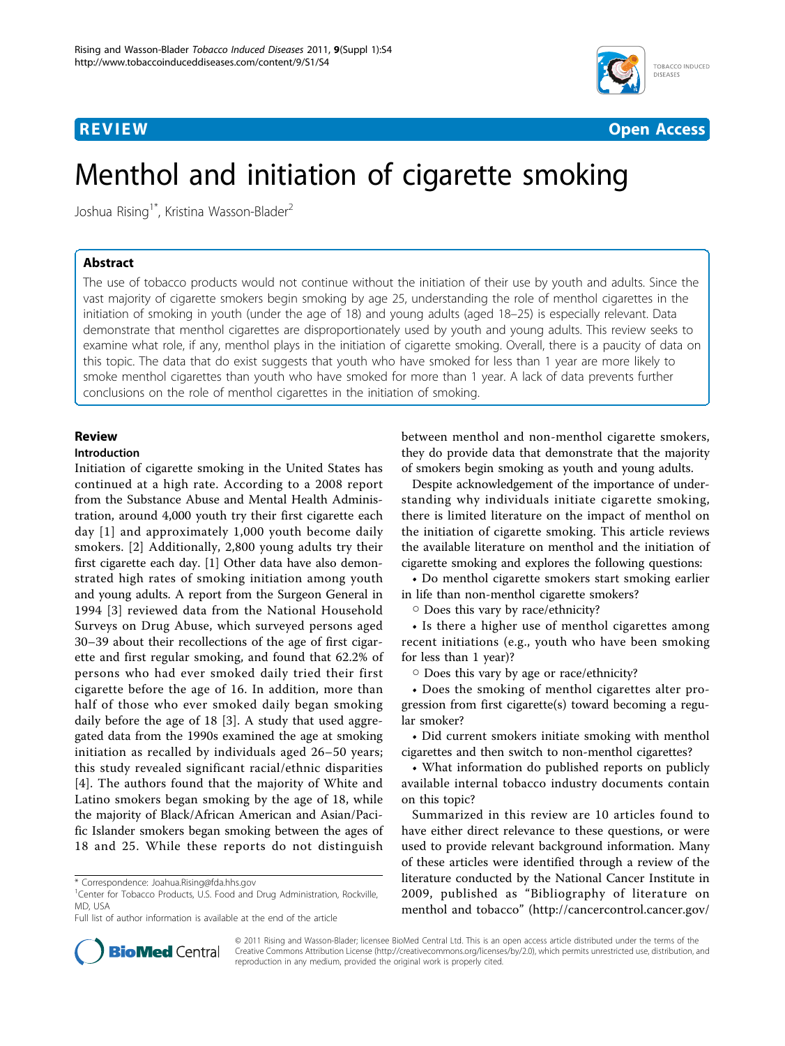



# Menthol and initiation of cigarette smoking

Joshua Rising<sup>1\*</sup>, Kristina Wasson-Blader<sup>2</sup>

## **Abstract**

The use of tobacco products would not continue without the initiation of their use by youth and adults. Since the vast majority of cigarette smokers begin smoking by age 25, understanding the role of menthol cigarettes in the initiation of smoking in youth (under the age of 18) and young adults (aged 18–25) is especially relevant. Data demonstrate that menthol cigarettes are disproportionately used by youth and young adults. This review seeks to examine what role, if any, menthol plays in the initiation of cigarette smoking. Overall, there is a paucity of data on this topic. The data that do exist suggests that youth who have smoked for less than 1 year are more likely to smoke menthol cigarettes than youth who have smoked for more than 1 year. A lack of data prevents further conclusions on the role of menthol cigarettes in the initiation of smoking.

# **Review**

# Introduction

Initiation of cigarette smoking in the United States has continued at a high rate. According to a 2008 report from the Substance Abuse and Mental Health Administration, around 4,000 youth try their first cigarette each day [[1](#page-3-0)] and approximately 1,000 youth become daily smokers. [[2\]](#page-3-0) Additionally, 2,800 young adults try their first cigarette each day. [[1](#page-3-0)] Other data have also demonstrated high rates of smoking initiation among youth and young adults. A report from the Surgeon General in 1994 [[3\]](#page-3-0) reviewed data from the National Household Surveys on Drug Abuse, which surveyed persons aged 30–39 about their recollections of the age of first cigarette and first regular smoking, and found that 62.2% of persons who had ever smoked daily tried their first cigarette before the age of 16. In addition, more than half of those who ever smoked daily began smoking daily before the age of 18 [[3\]](#page-3-0). A study that used aggregated data from the 1990s examined the age at smoking initiation as recalled by individuals aged 26–50 years; this study revealed significant racial/ethnic disparities [[4](#page-3-0)]. The authors found that the majority of White and Latino smokers began smoking by the age of 18, while the majority of Black/African American and Asian/Pacific Islander smokers began smoking between the ages of 18 and 25. While these reports do not distinguish

between menthol and non-menthol cigarette smokers, they do provide data that demonstrate that the majority of smokers begin smoking as youth and young adults.

Despite acknowledgement of the importance of understanding why individuals initiate cigarette smoking, there is limited literature on the impact of menthol on the initiation of cigarette smoking. This article reviews the available literature on menthol and the initiation of cigarette smoking and explores the following questions:

• Do menthol cigarette smokers start smoking earlier in life than non-menthol cigarette smokers?

○ Does this vary by race/ethnicity?

• Is there a higher use of menthol cigarettes among recent initiations (e.g., youth who have been smoking for less than 1 year)?

○ Does this vary by age or race/ethnicity?

• Does the smoking of menthol cigarettes alter progression from first cigarette(s) toward becoming a regular smoker?

• Did current smokers initiate smoking with menthol cigarettes and then switch to non-menthol cigarettes?

• What information do published reports on publicly available internal tobacco industry documents contain on this topic?

Summarized in this review are 10 articles found to have either direct relevance to these questions, or were used to provide relevant background information. Many of these articles were identified through a review of the literature conducted by the National Cancer Institute in 2009, published as "Bibliography of literature on menthol and tobacco" [\(http://cancercontrol.cancer.gov/](http://cancercontrol.cancer.gov/tcrb/documents/menthol_bibliography_508.pdf)



© 2011 Rising and Wasson-Blader; licensee BioMed Central Ltd. This is an open access article distributed under the terms of the Creative Commons Attribution License (<http://creativecommons.org/licenses/by/2.0>), which permits unrestricted use, distribution, and reproduction in any medium, provided the original work is properly cited.

<sup>\*</sup> Correspondence: [Joahua.Rising@fda.hhs.gov](mailto:Joahua.Rising@fda.hhs.gov)

<sup>&</sup>lt;sup>1</sup>Center for Tobacco Products, U.S. Food and Drug Administration, Rockville, MD, USA

Full list of author information is available at the end of the article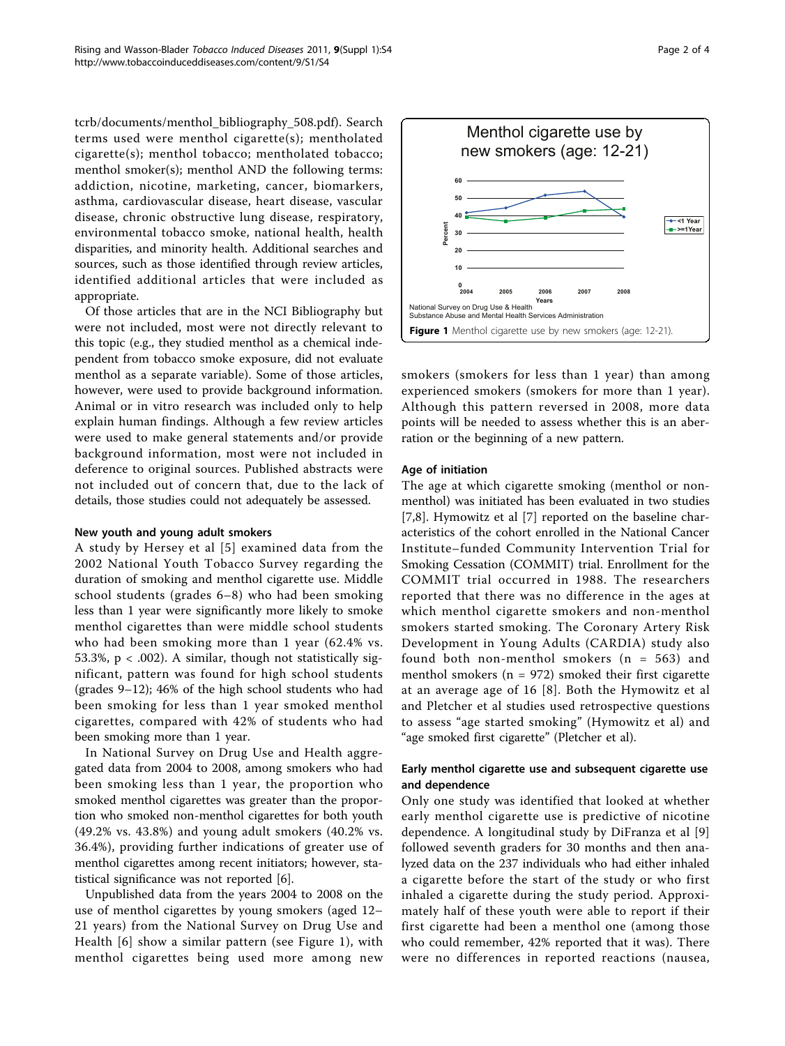[tcrb/documents/menthol\\_bibliography\\_508.pdf\)](http://cancercontrol.cancer.gov/tcrb/documents/menthol_bibliography_508.pdf). Search terms used were menthol cigarette(s); mentholated cigarette(s); menthol tobacco; mentholated tobacco; menthol smoker(s); menthol AND the following terms: addiction, nicotine, marketing, cancer, biomarkers, asthma, cardiovascular disease, heart disease, vascular disease, chronic obstructive lung disease, respiratory, environmental tobacco smoke, national health, health disparities, and minority health. Additional searches and sources, such as those identified through review articles, identified additional articles that were included as appropriate.

Of those articles that are in the NCI Bibliography but were not included, most were not directly relevant to this topic (e.g., they studied menthol as a chemical independent from tobacco smoke exposure, did not evaluate menthol as a separate variable). Some of those articles, however, were used to provide background information. Animal or in vitro research was included only to help explain human findings. Although a few review articles were used to make general statements and/or provide background information, most were not included in deference to original sources. Published abstracts were not included out of concern that, due to the lack of details, those studies could not adequately be assessed.

#### New youth and young adult smokers

A study by Hersey et al [[5\]](#page-3-0) examined data from the 2002 National Youth Tobacco Survey regarding the duration of smoking and menthol cigarette use. Middle school students (grades 6–8) who had been smoking less than 1 year were significantly more likely to smoke menthol cigarettes than were middle school students who had been smoking more than 1 year (62.4% vs. 53.3%,  $p < .002$ ). A similar, though not statistically significant, pattern was found for high school students (grades 9–12); 46% of the high school students who had been smoking for less than 1 year smoked menthol cigarettes, compared with 42% of students who had been smoking more than 1 year.

In National Survey on Drug Use and Health aggregated data from 2004 to 2008, among smokers who had been smoking less than 1 year, the proportion who smoked menthol cigarettes was greater than the proportion who smoked non-menthol cigarettes for both youth (49.2% vs. 43.8%) and young adult smokers (40.2% vs. 36.4%), providing further indications of greater use of menthol cigarettes among recent initiators; however, statistical significance was not reported [\[6\]](#page-3-0).

Unpublished data from the years 2004 to 2008 on the use of menthol cigarettes by young smokers (aged 12– 21 years) from the National Survey on Drug Use and Health [[6\]](#page-3-0) show a similar pattern (see Figure 1), with menthol cigarettes being used more among new



smokers (smokers for less than 1 year) than among experienced smokers (smokers for more than 1 year). Although this pattern reversed in 2008, more data points will be needed to assess whether this is an aberration or the beginning of a new pattern.

#### Age of initiation

The age at which cigarette smoking (menthol or nonmenthol) was initiated has been evaluated in two studies [[7,8](#page-3-0)]. Hymowitz et al [[7\]](#page-3-0) reported on the baseline characteristics of the cohort enrolled in the National Cancer Institute–funded Community Intervention Trial for Smoking Cessation (COMMIT) trial. Enrollment for the COMMIT trial occurred in 1988. The researchers reported that there was no difference in the ages at which menthol cigarette smokers and non-menthol smokers started smoking. The Coronary Artery Risk Development in Young Adults (CARDIA) study also found both non-menthol smokers (n = 563) and menthol smokers ( $n = 972$ ) smoked their first cigarette at an average age of 16 [[8\]](#page-3-0). Both the Hymowitz et al and Pletcher et al studies used retrospective questions to assess "age started smoking" (Hymowitz et al) and "age smoked first cigarette" (Pletcher et al).

## Early menthol cigarette use and subsequent cigarette use and dependence

Only one study was identified that looked at whether early menthol cigarette use is predictive of nicotine dependence. A longitudinal study by DiFranza et al [\[9](#page-3-0)] followed seventh graders for 30 months and then analyzed data on the 237 individuals who had either inhaled a cigarette before the start of the study or who first inhaled a cigarette during the study period. Approximately half of these youth were able to report if their first cigarette had been a menthol one (among those who could remember, 42% reported that it was). There were no differences in reported reactions (nausea,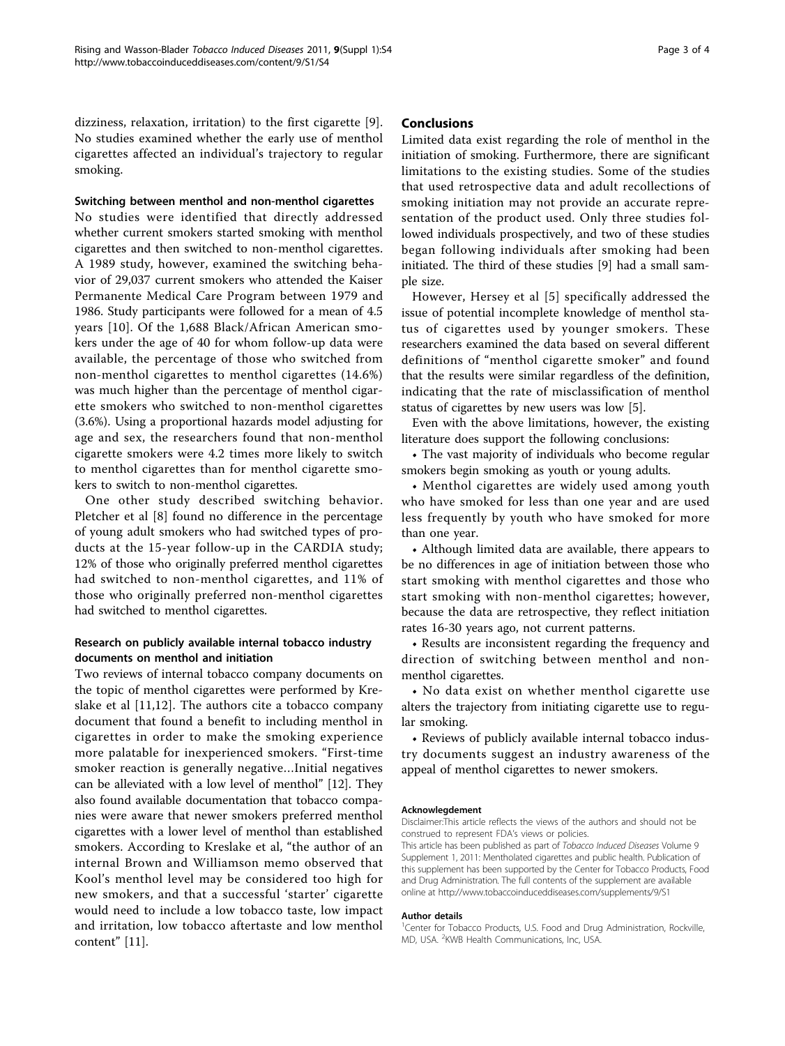dizziness, relaxation, irritation) to the first cigarette [\[9](#page-3-0)]. No studies examined whether the early use of menthol cigarettes affected an individual's trajectory to regular smoking.

#### Switching between menthol and non-menthol cigarettes

No studies were identified that directly addressed whether current smokers started smoking with menthol cigarettes and then switched to non-menthol cigarettes. A 1989 study, however, examined the switching behavior of 29,037 current smokers who attended the Kaiser Permanente Medical Care Program between 1979 and 1986. Study participants were followed for a mean of 4.5 years [[10](#page-3-0)]. Of the 1,688 Black/African American smokers under the age of 40 for whom follow-up data were available, the percentage of those who switched from non-menthol cigarettes to menthol cigarettes (14.6%) was much higher than the percentage of menthol cigarette smokers who switched to non-menthol cigarettes (3.6%). Using a proportional hazards model adjusting for age and sex, the researchers found that non-menthol cigarette smokers were 4.2 times more likely to switch to menthol cigarettes than for menthol cigarette smokers to switch to non-menthol cigarettes.

One other study described switching behavior. Pletcher et al [\[8](#page-3-0)] found no difference in the percentage of young adult smokers who had switched types of products at the 15-year follow-up in the CARDIA study; 12% of those who originally preferred menthol cigarettes had switched to non-menthol cigarettes, and 11% of those who originally preferred non-menthol cigarettes had switched to menthol cigarettes.

## Research on publicly available internal tobacco industry documents on menthol and initiation

Two reviews of internal tobacco company documents on the topic of menthol cigarettes were performed by Kreslake et al [\[11](#page-3-0),[12\]](#page-3-0). The authors cite a tobacco company document that found a benefit to including menthol in cigarettes in order to make the smoking experience more palatable for inexperienced smokers. "First-time smoker reaction is generally negative…Initial negatives can be alleviated with a low level of menthol" [[12](#page-3-0)]. They also found available documentation that tobacco companies were aware that newer smokers preferred menthol cigarettes with a lower level of menthol than established smokers. According to Kreslake et al, "the author of an internal Brown and Williamson memo observed that Kool's menthol level may be considered too high for new smokers, and that a successful 'starter' cigarette would need to include a low tobacco taste, low impact and irritation, low tobacco aftertaste and low menthol content" [[11](#page-3-0)].

Limited data exist regarding the role of menthol in the initiation of smoking. Furthermore, there are significant limitations to the existing studies. Some of the studies that used retrospective data and adult recollections of smoking initiation may not provide an accurate representation of the product used. Only three studies followed individuals prospectively, and two of these studies began following individuals after smoking had been initiated. The third of these studies [[9\]](#page-3-0) had a small sample size.

However, Hersey et al [\[5\]](#page-3-0) specifically addressed the issue of potential incomplete knowledge of menthol status of cigarettes used by younger smokers. These researchers examined the data based on several different definitions of "menthol cigarette smoker" and found that the results were similar regardless of the definition, indicating that the rate of misclassification of menthol status of cigarettes by new users was low [\[5\]](#page-3-0).

Even with the above limitations, however, the existing literature does support the following conclusions:

• The vast majority of individuals who become regular smokers begin smoking as youth or young adults.

• Menthol cigarettes are widely used among youth who have smoked for less than one year and are used less frequently by youth who have smoked for more than one year.

• Although limited data are available, there appears to be no differences in age of initiation between those who start smoking with menthol cigarettes and those who start smoking with non-menthol cigarettes; however, because the data are retrospective, they reflect initiation rates 16-30 years ago, not current patterns.

• Results are inconsistent regarding the frequency and direction of switching between menthol and nonmenthol cigarettes.

• No data exist on whether menthol cigarette use alters the trajectory from initiating cigarette use to regular smoking.

• Reviews of publicly available internal tobacco industry documents suggest an industry awareness of the appeal of menthol cigarettes to newer smokers.

#### Acknowlegdement

Disclaimer:This article reflects the views of the authors and should not be construed to represent FDA's views or policies.

This article has been published as part of Tobacco Induced Diseases Volume 9 Supplement 1, 2011: Mentholated cigarettes and public health. Publication of this supplement has been supported by the Center for Tobacco Products, Food and Drug Administration. The full contents of the supplement are available online at<http://www.tobaccoinduceddiseases.com/supplements/9/S1>

#### Author details

<sup>1</sup> Center for Tobacco Products, U.S. Food and Drug Administration, Rockville MD, USA. <sup>2</sup> KWB Health Communications, Inc, USA.